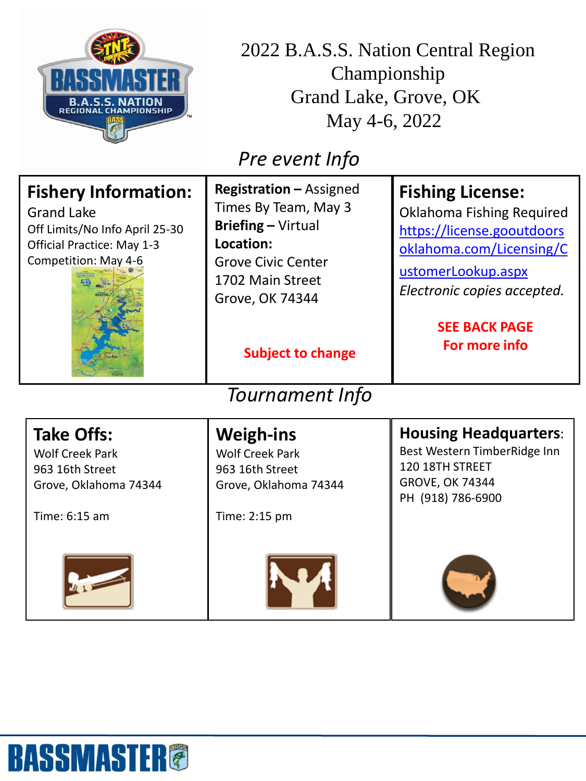

2022 B.A.S.S. Nation Central Region Championship Grand Lake, Grove, OK May 4-6, 2022

## *Pre event Info*

| <b>Fishery Information:</b><br><b>Grand Lake</b><br>Off Limits/No Info April 25-30<br><b>Official Practice: May 1-3</b><br>Competition: May 4-6 | <b>Registration - Assigned</b><br>Times By Team, May 3<br><b>Briefing - Virtual</b><br>Location:<br><b>Grove Civic Center</b><br>1702 Main Street<br><b>Grove, OK 74344</b><br><b>Subject to change</b> | <b>Fishing License:</b><br>Oklahoma Fishing Required<br>https://license.gooutdoors<br>oklahoma.com/Licensing/C<br>ustomerLookup.aspx<br>Electronic copies accepted.<br><b>SEE BACK PAGE</b><br>For more info |
|-------------------------------------------------------------------------------------------------------------------------------------------------|---------------------------------------------------------------------------------------------------------------------------------------------------------------------------------------------------------|--------------------------------------------------------------------------------------------------------------------------------------------------------------------------------------------------------------|
| <b>Tournament Info</b>                                                                                                                          |                                                                                                                                                                                                         |                                                                                                                                                                                                              |
| <b>Take Offs:</b><br><b>Wolf Creek Park</b><br>963 16th Street<br>Grove, Oklahoma 74344<br>Time: 6:15 am                                        | <b>Weigh-ins</b><br><b>Wolf Creek Park</b><br>963 16th Street<br>Grove, Oklahoma 74344<br>Time: 2:15 pm                                                                                                 | <b>Housing Headquarters:</b><br>Best Western TimberRidge Inn<br>120 18TH STREET<br><b>GROVE, OK 74344</b><br>PH (918) 786-6900                                                                               |
|                                                                                                                                                 |                                                                                                                                                                                                         |                                                                                                                                                                                                              |